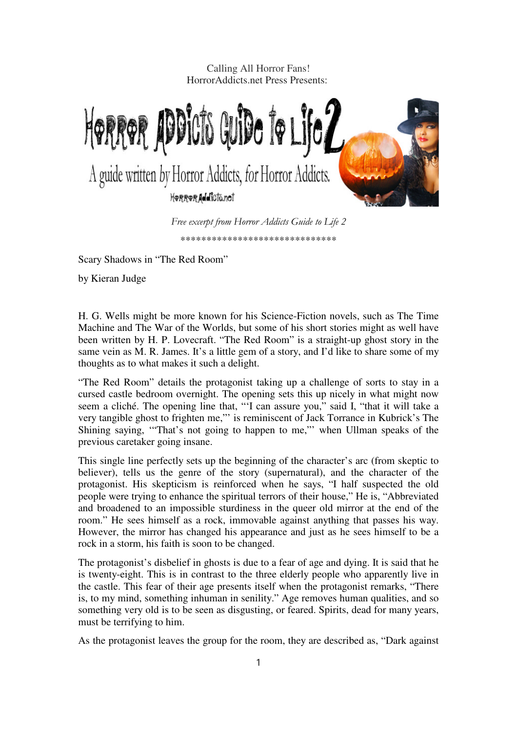Calling All Horror Fans! HorrorAddicts.net Press Presents:



Scary Shadows in "The Red Room"

by Kieran Judge

H. G. Wells might be more known for his Science-Fiction novels, such as The Time Machine and The War of the Worlds, but some of his short stories might as well have been written by H. P. Lovecraft. "The Red Room" is a straight-up ghost story in the same vein as M. R. James. It's a little gem of a story, and I'd like to share some of my thoughts as to what makes it such a delight.

"The Red Room" details the protagonist taking up a challenge of sorts to stay in a cursed castle bedroom overnight. The opening sets this up nicely in what might now seem a cliché. The opening line that, "'I can assure you," said I, "that it will take a very tangible ghost to frighten me,"' is reminiscent of Jack Torrance in Kubrick's The Shining saying, '"That's not going to happen to me,"' when Ullman speaks of the previous caretaker going insane.

This single line perfectly sets up the beginning of the character's arc (from skeptic to believer), tells us the genre of the story (supernatural), and the character of the protagonist. His skepticism is reinforced when he says, "I half suspected the old people were trying to enhance the spiritual terrors of their house," He is, "Abbreviated and broadened to an impossible sturdiness in the queer old mirror at the end of the room." He sees himself as a rock, immovable against anything that passes his way. However, the mirror has changed his appearance and just as he sees himself to be a rock in a storm, his faith is soon to be changed.

The protagonist's disbelief in ghosts is due to a fear of age and dying. It is said that he is twenty-eight. This is in contrast to the three elderly people who apparently live in the castle. This fear of their age presents itself when the protagonist remarks, "There is, to my mind, something inhuman in senility." Age removes human qualities, and so something very old is to be seen as disgusting, or feared. Spirits, dead for many years, must be terrifying to him.

As the protagonist leaves the group for the room, they are described as, "Dark against